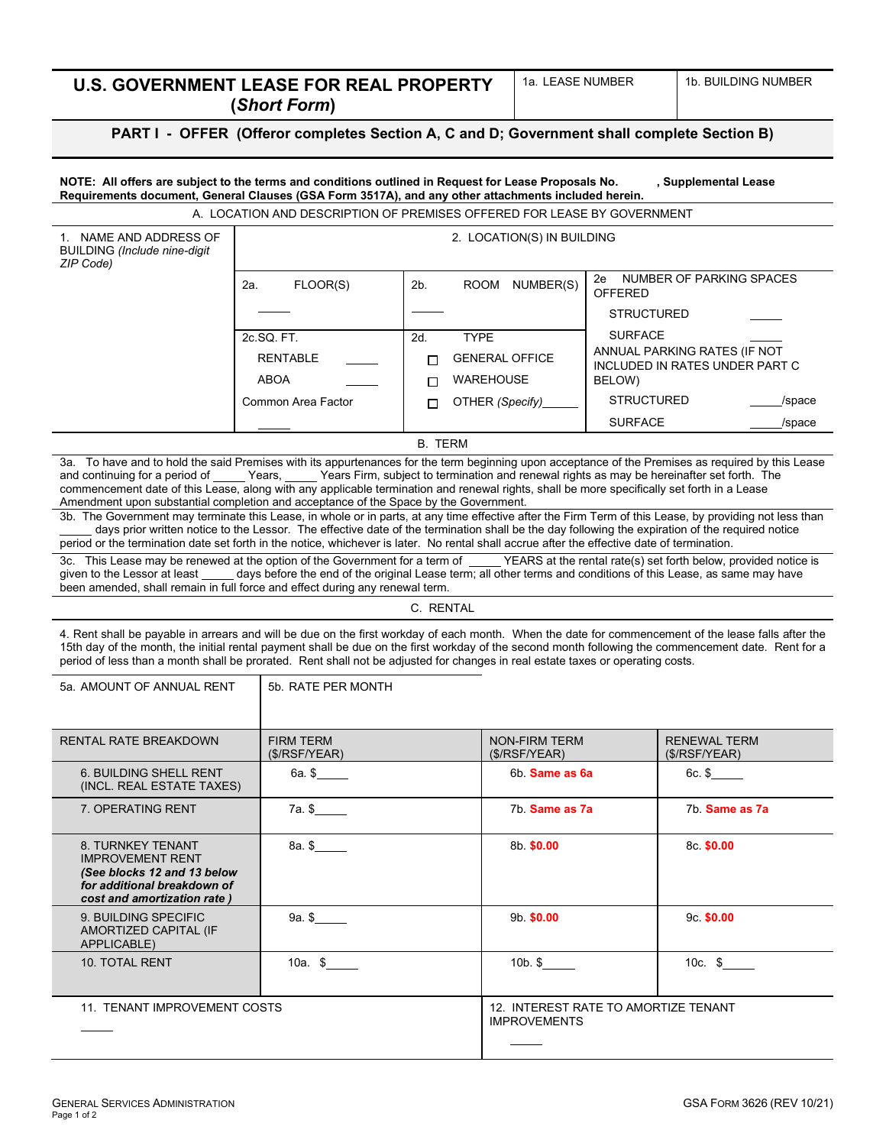| <b>U.S. GOVERNMENT LEASE FOR REAL PROPERTY</b><br>(Short Form)                             | 1a. LEASE NUMBER | 1b. BUILDING NUMBER |  |  |
|--------------------------------------------------------------------------------------------|------------------|---------------------|--|--|
| PART I - OFFER (Offeror completes Section A, C and D; Government shall complete Section B) |                  |                     |  |  |

A. LOCATION AND DESCRIPTION OF PREMISES OFFERED FOR LEASE BY GOVERNMENT

1. NAME AND ADDRESS OF BUILDING *(Include nine-digit ZIP Code)*

| FLOOR(S)<br>2a.    | NUMBER(S)<br><b>ROOM</b><br>2b. | NUMBER OF PARKING SPACES<br>2e<br>OFFERED                             |
|--------------------|---------------------------------|-----------------------------------------------------------------------|
|                    |                                 | <b>STRUCTURED</b>                                                     |
| 2c.SQ. FT.         | <b>TYPF</b><br>2d.              | <b>SURFACE</b>                                                        |
| <b>RENTABLE</b>    | <b>GENERAL OFFICE</b>           | ANNUAL PARKING RATES (IF NOT<br><b>INCLUDED IN RATES UNDER PART C</b> |
| <b>ABOA</b>        | <b>WAREHOUSE</b>                | BELOW)                                                                |
| Common Area Factor | OTHER (Specify)                 | <b>STRUCTURED</b><br>/space                                           |
|                    |                                 | <b>SURFACE</b><br>/space                                              |

2. LOCATION(S) IN BUILDING

B. TERM

3a. To have and to hold the said Premises with its appurtenances for the term beginning upon acceptance of the Premises as required by this Lease and continuing for a period of \_\_\_\_\_\_Years, \_\_\_\_\_Years Firm, subject to term  $\_$  Years Firm, subject to termination and renewal rights as may be hereinafter set forth. The commencement date of this Lease, along with any applicable termination and renewal rights, shall be more specifically set forth in a Lease Amendment upon substantial completion and acceptance of the Space by the Government.

3b. The Government may terminate this Lease, in whole or in parts, at any time effective after the Firm Term of this Lease, by providing not less than days prior written notice to the Lessor. The effective date of the termination shall be the day following the expiration of the required notice period or the termination date set forth in the notice, whichever is later. No rental shall accrue after the effective date of termination.

3c. This Lease may be renewed at the option of the Government for a term of \_\_\_\_\_YEARS at the rental rate(s) set forth below, provided notice is given to the Lessor at least \_\_\_\_\_ days before the end of the original Lease days before the end of the original Lease term; all other terms and conditions of this Lease, as same may have been amended, shall remain in full force and effect during any renewal term.

C. RENTAL

4. Rent shall be payable in arrears and will be due on the first workday of each month. When the date for commencement of the lease falls after the 15th day of the month, the initial rental payment shall be due on the first workday of the second month following the commencement date. Rent for a period of less than a month shall be prorated. Rent shall not be adjusted for changes in real estate taxes or operating costs.

| 5a. AMOUNT OF ANNUAL RENT                                                                                                                 | 5b. RATE PER MONTH               |                                                             |                                     |
|-------------------------------------------------------------------------------------------------------------------------------------------|----------------------------------|-------------------------------------------------------------|-------------------------------------|
| <b>RENTAL RATE BREAKDOWN</b>                                                                                                              | <b>FIRM TERM</b><br>(S/RSF/YEAR) | <b>NON-FIRM TERM</b><br>(S/RSF/YEAR)                        | <b>RENEWAL TERM</b><br>(S/RSF/YEAR) |
| 6. BUILDING SHELL RENT<br>(INCL. REAL ESTATE TAXES)                                                                                       | 6a. \$                           | 6b. Same as 6a                                              | $6c.$ \$                            |
| 7. OPERATING RENT                                                                                                                         | 7a. \$                           | 7b. Same as 7a                                              | 7b. Same as 7a                      |
| 8. TURNKEY TENANT<br><b>IMPROVEMENT RENT</b><br>(See blocks 12 and 13 below<br>for additional breakdown of<br>cost and amortization rate) | 8a. \$                           | 8b \$0.00                                                   | 8c \$0.00                           |
| 9. BUILDING SPECIFIC<br>AMORTIZED CAPITAL (IF<br>APPLICABLE)                                                                              | 9a. \$                           | 9b \$0.00                                                   | $9c$ \$0.00                         |
| 10. TOTAL RENT                                                                                                                            | 10a. \$                          | $10b$ . \$                                                  | 10 $c.$ \$                          |
| 11. TENANT IMPROVEMENT COSTS                                                                                                              |                                  | 12. INTEREST RATE TO AMORTIZE TENANT<br><b>IMPROVEMENTS</b> |                                     |
|                                                                                                                                           |                                  |                                                             |                                     |